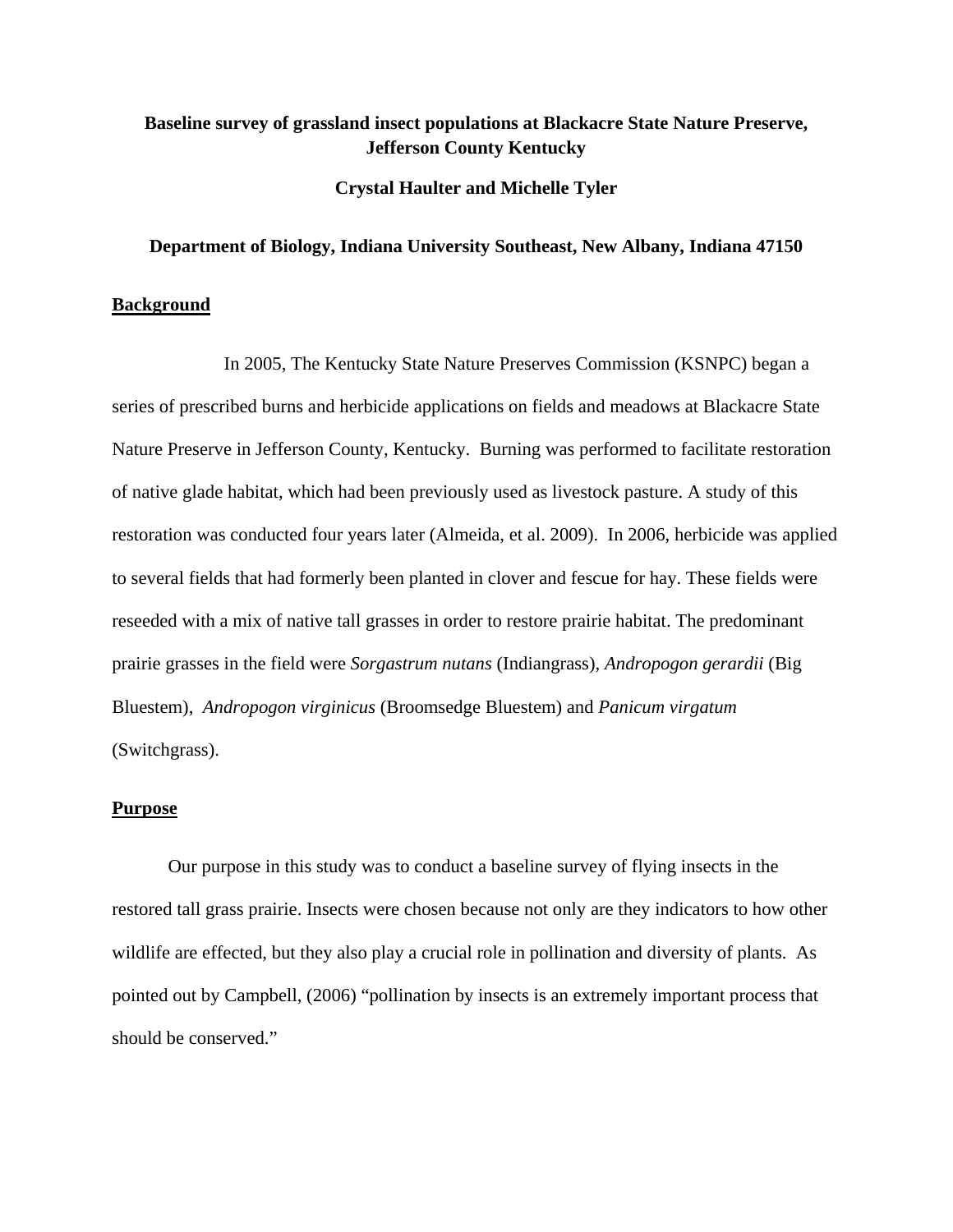# **Baseline survey of grassland insect populations at Blackacre State Nature Preserve, Jefferson County Kentucky**

**Crystal Haulter and Michelle Tyler** 

### **Department of Biology, Indiana University Southeast, New Albany, Indiana 47150**

#### **Background**

 In 2005, The Kentucky State Nature Preserves Commission (KSNPC) began a series of prescribed burns and herbicide applications on fields and meadows at Blackacre State Nature Preserve in Jefferson County, Kentucky. Burning was performed to facilitate restoration of native glade habitat, which had been previously used as livestock pasture. A study of this restoration was conducted four years later (Almeida, et al. 2009). In 2006, herbicide was applied to several fields that had formerly been planted in clover and fescue for hay. These fields were reseeded with a mix of native tall grasses in order to restore prairie habitat. The predominant prairie grasses in the field were *Sorgastrum nutans* (Indiangrass), *Andropogon gerardii* (Big Bluestem), *Andropogon virginicus* (Broomsedge Bluestem) and *Panicum virgatum* (Switchgrass).

#### **Purpose**

 Our purpose in this study was to conduct a baseline survey of flying insects in the restored tall grass prairie. Insects were chosen because not only are they indicators to how other wildlife are effected, but they also play a crucial role in pollination and diversity of plants. As pointed out by Campbell, (2006) "pollination by insects is an extremely important process that should be conserved."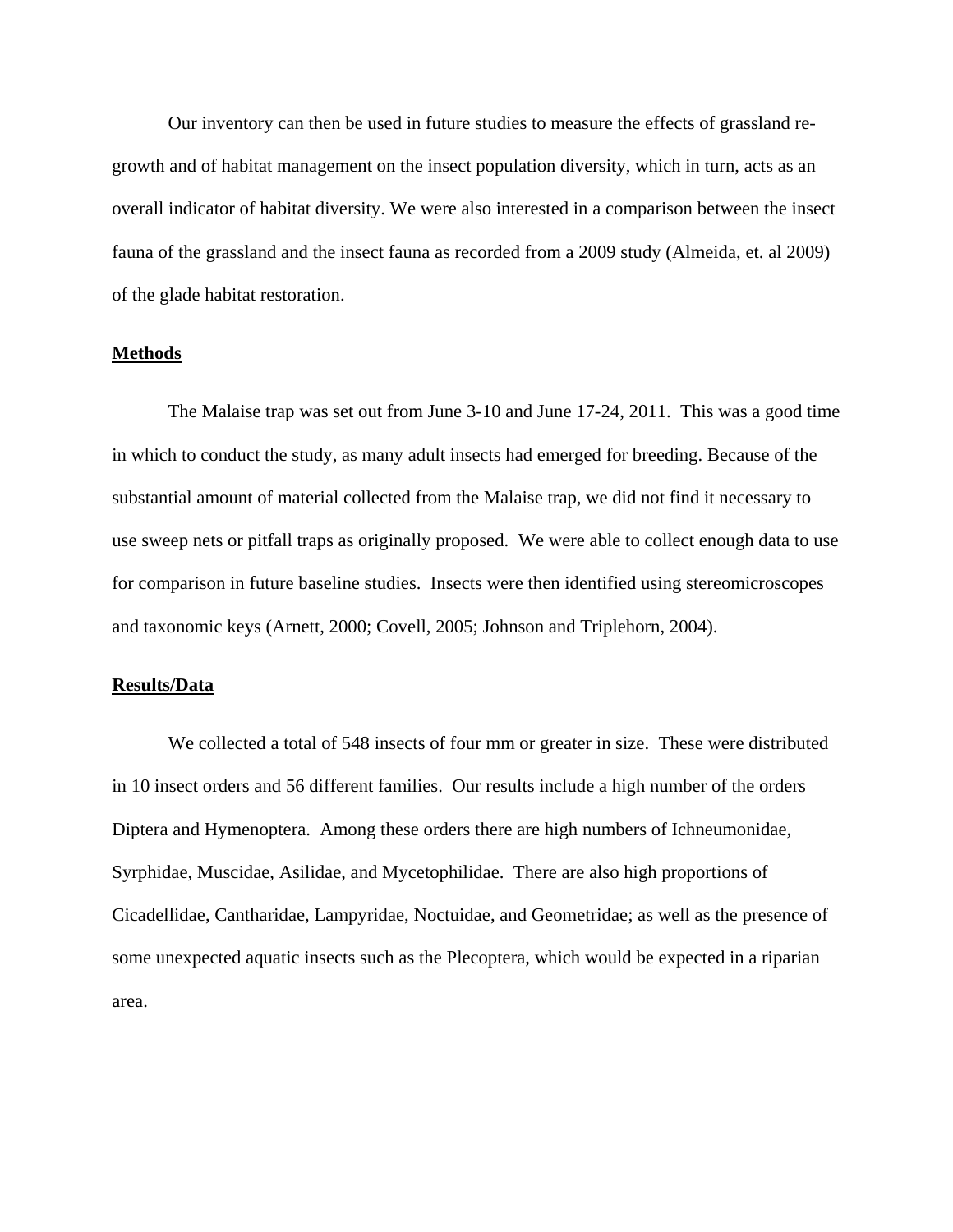Our inventory can then be used in future studies to measure the effects of grassland regrowth and of habitat management on the insect population diversity, which in turn, acts as an overall indicator of habitat diversity. We were also interested in a comparison between the insect fauna of the grassland and the insect fauna as recorded from a 2009 study (Almeida, et. al 2009) of the glade habitat restoration.

#### **Methods**

The Malaise trap was set out from June 3-10 and June 17-24, 2011. This was a good time in which to conduct the study, as many adult insects had emerged for breeding. Because of the substantial amount of material collected from the Malaise trap, we did not find it necessary to use sweep nets or pitfall traps as originally proposed. We were able to collect enough data to use for comparison in future baseline studies. Insects were then identified using stereomicroscopes and taxonomic keys (Arnett, 2000; Covell, 2005; Johnson and Triplehorn, 2004).

## **Results/Data**

We collected a total of 548 insects of four mm or greater in size. These were distributed in 10 insect orders and 56 different families. Our results include a high number of the orders Diptera and Hymenoptera. Among these orders there are high numbers of Ichneumonidae, Syrphidae, Muscidae, Asilidae, and Mycetophilidae. There are also high proportions of Cicadellidae, Cantharidae, Lampyridae, Noctuidae, and Geometridae; as well as the presence of some unexpected aquatic insects such as the Plecoptera, which would be expected in a riparian area.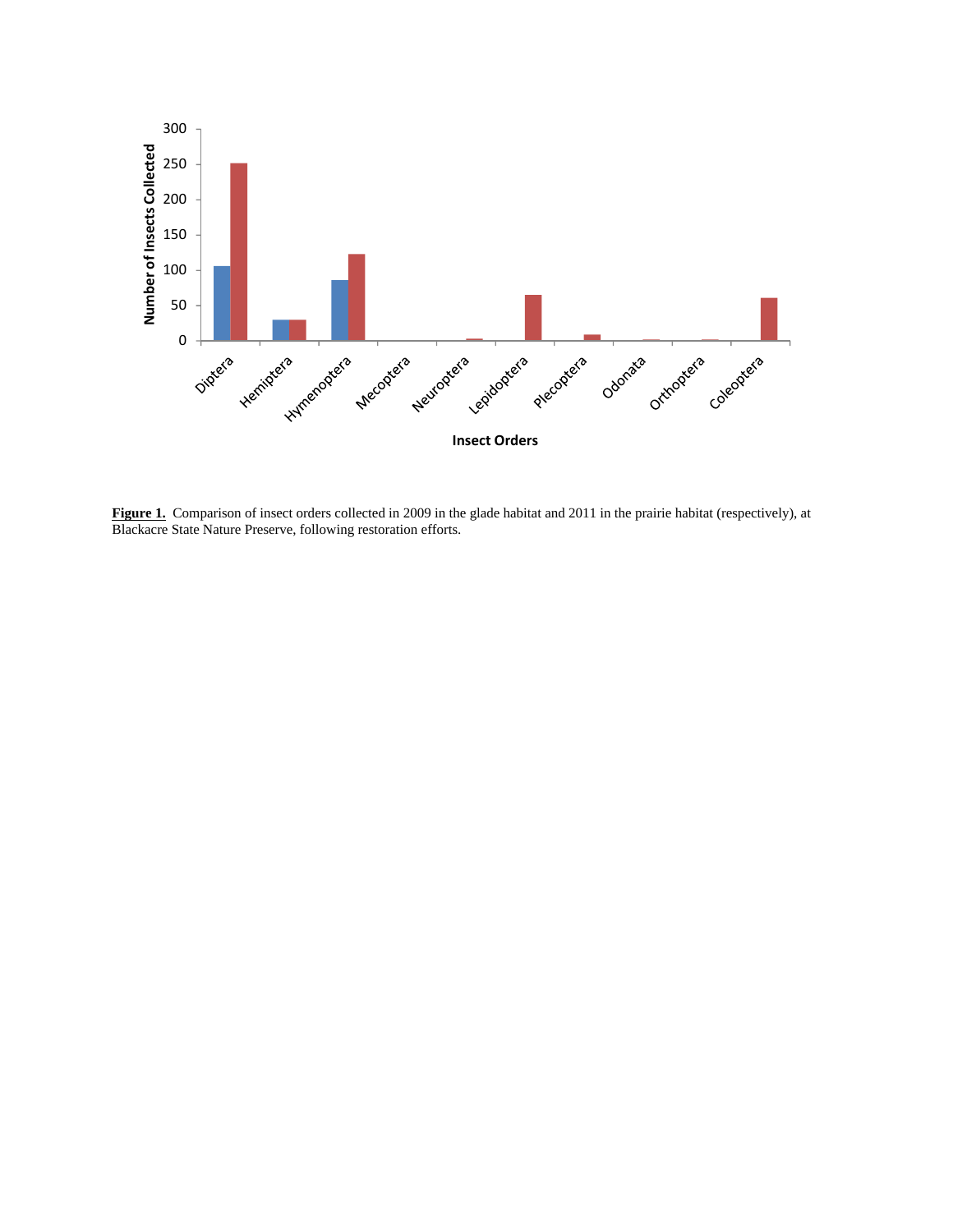

**Figure 1.** Comparison of insect orders collected in 2009 in the glade habitat and 2011 in the prairie habitat (respectively), at Blackacre State Nature Preserve, following restoration efforts.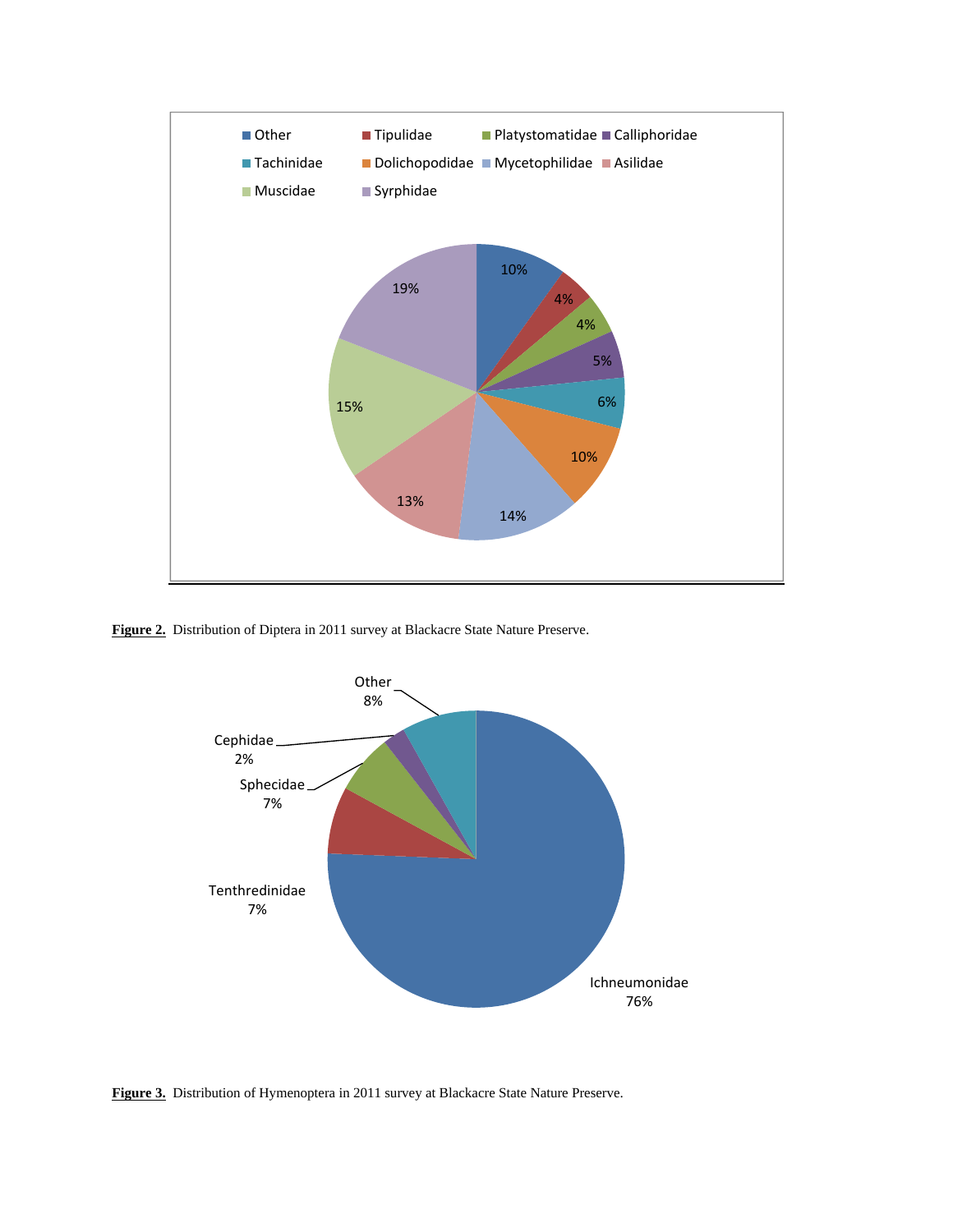

**Figure 2.** Distribution of Diptera in 2011 survey at Blackacre State Nature Preserve.



**Figure 3.** Distribution of Hymenoptera in 2011 survey at Blackacre State Nature Preserve.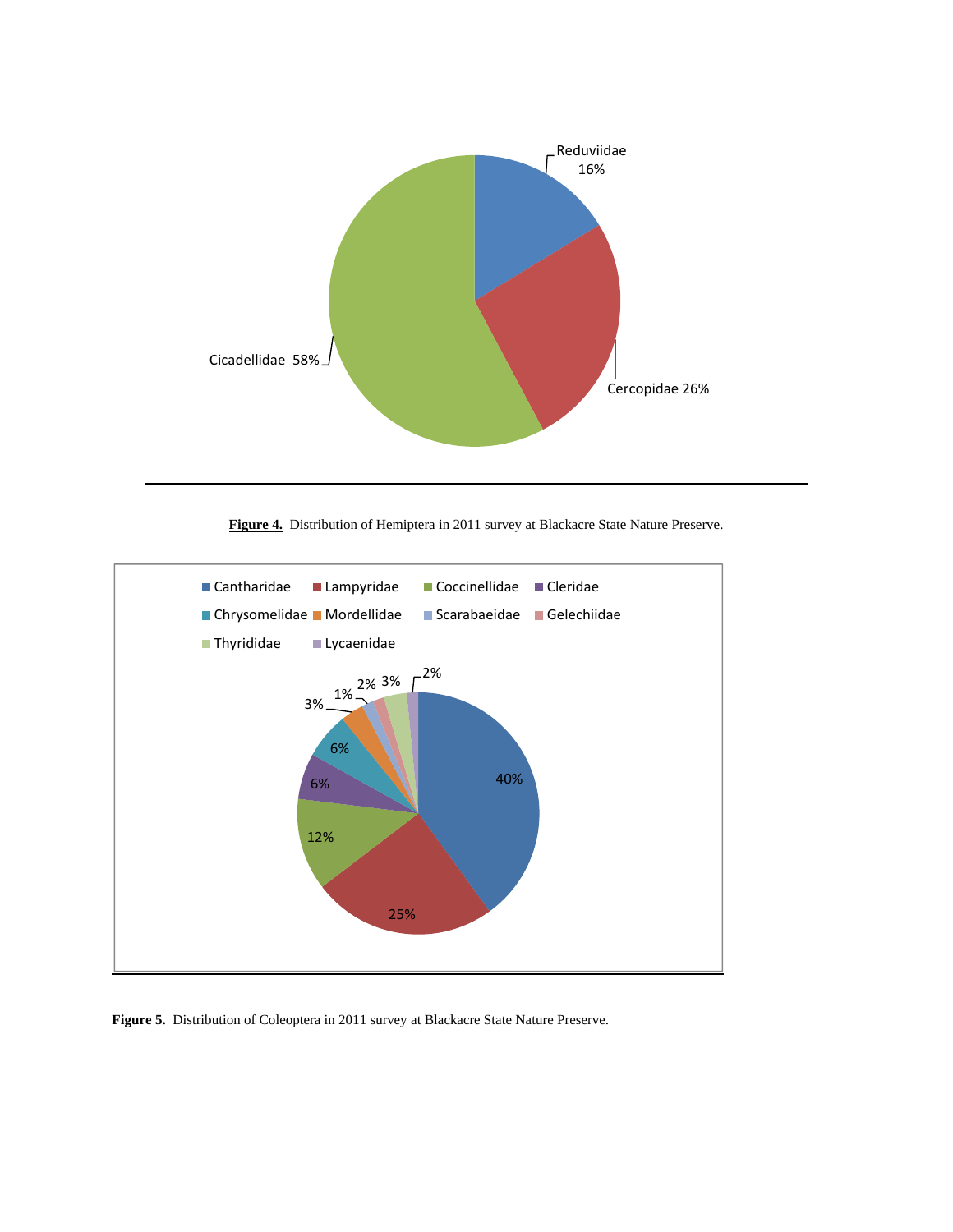

**Figure 4.** Distribution of Hemiptera in 2011 survey at Blackacre State Nature Preserve.



**Figure 5.** Distribution of Coleoptera in 2011 survey at Blackacre State Nature Preserve.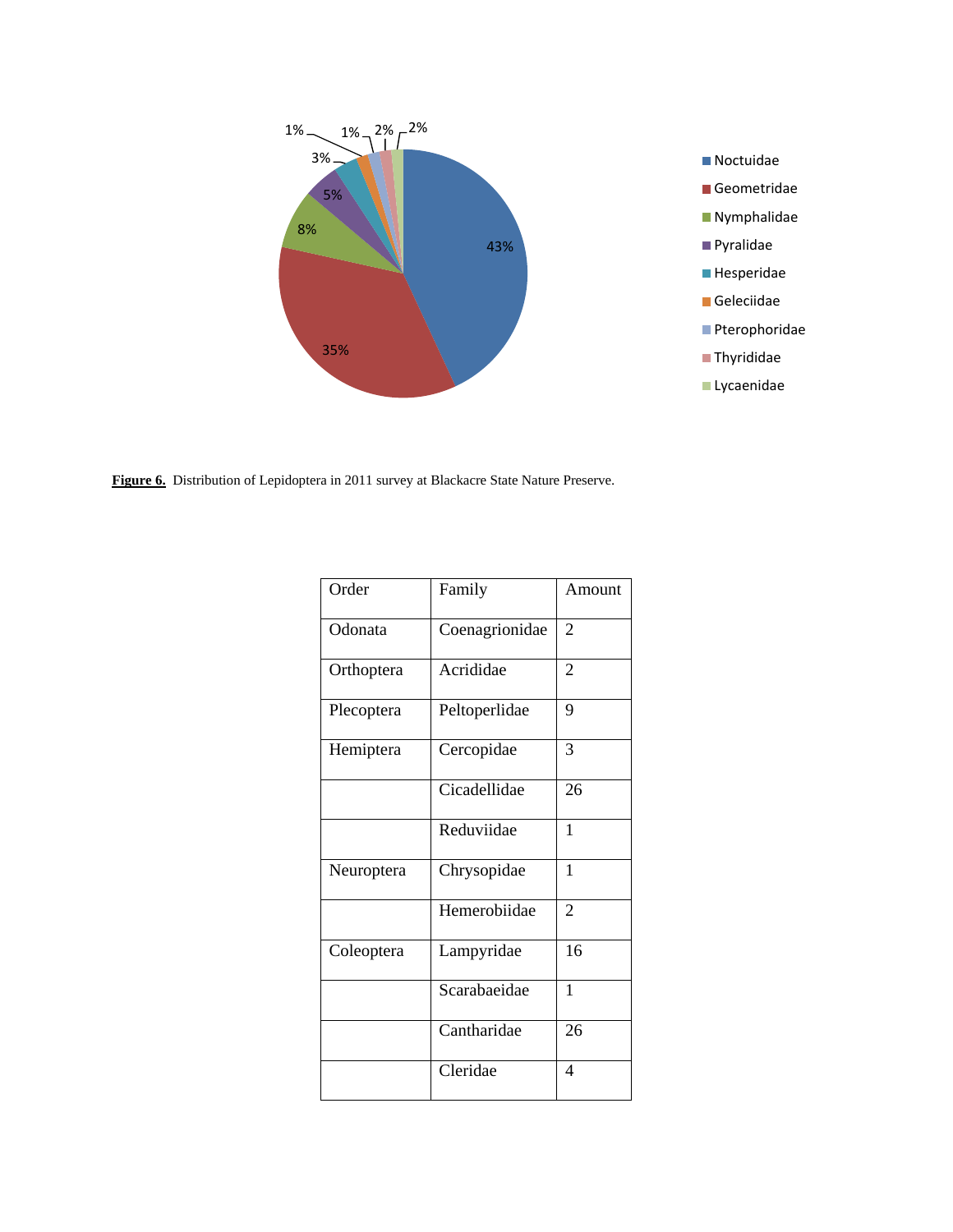

Figure 6. Distribution of Lepidoptera in 2011 survey at Blackacre State Nature Preserve.

| Order      | Family         | Amount         |
|------------|----------------|----------------|
| Odonata    | Coenagrionidae | $\overline{2}$ |
| Orthoptera | Acrididae      | $\overline{2}$ |
| Plecoptera | Peltoperlidae  | 9              |
| Hemiptera  | Cercopidae     | 3              |
|            | Cicadellidae   | 26             |
|            | Reduviidae     | $\mathbf{1}$   |
| Neuroptera | Chrysopidae    | 1              |
|            | Hemerobiidae   | $\overline{2}$ |
| Coleoptera | Lampyridae     | 16             |
|            | Scarabaeidae   | 1              |
|            | Cantharidae    | 26             |
|            | Cleridae       | $\overline{4}$ |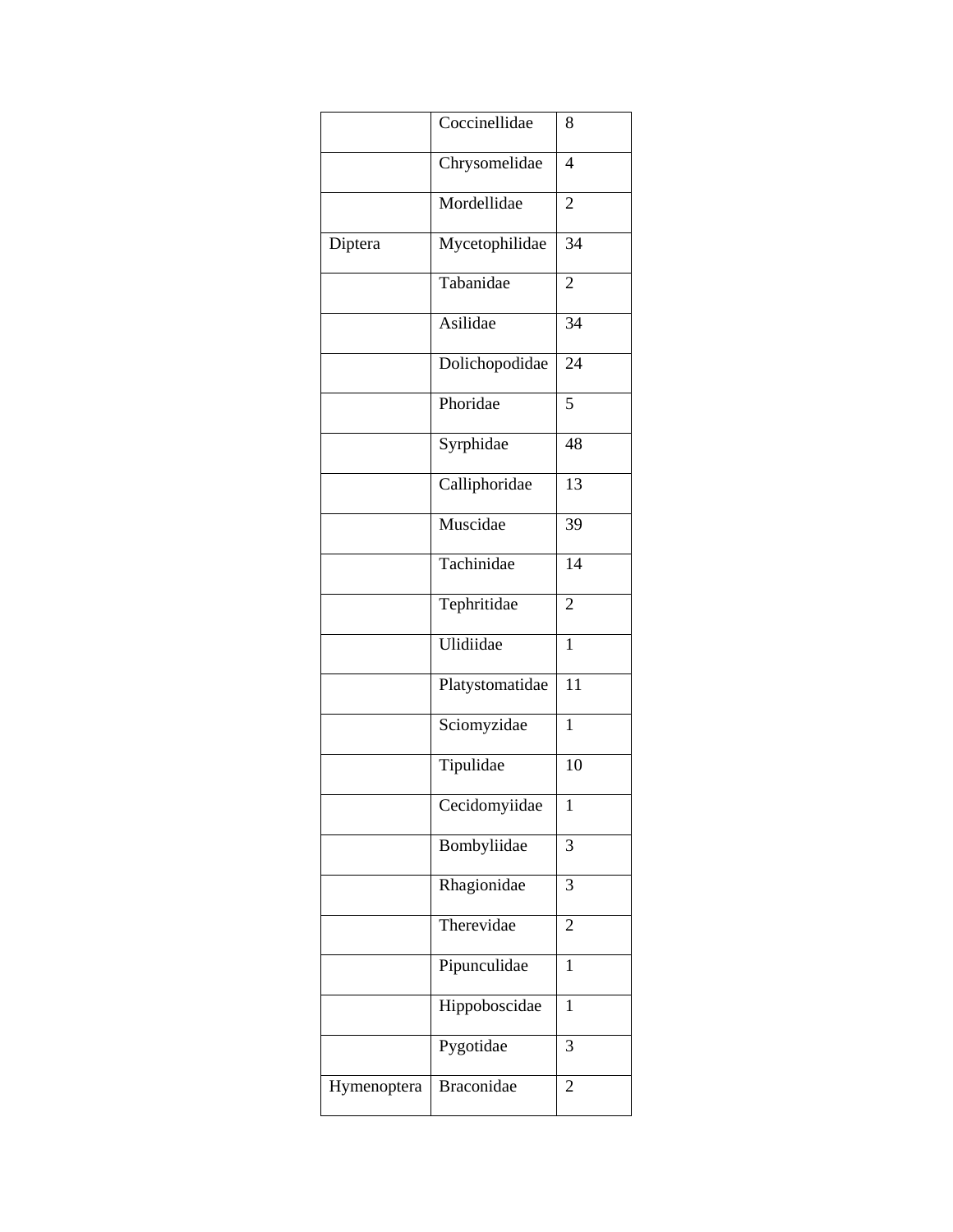|             | Coccinellidae     | 8              |
|-------------|-------------------|----------------|
|             | Chrysomelidae     | $\overline{4}$ |
|             | Mordellidae       | $\overline{2}$ |
| Diptera     | Mycetophilidae    | 34             |
|             | Tabanidae         | $\overline{2}$ |
|             | Asilidae          | 34             |
|             | Dolichopodidae    | 24             |
|             | Phoridae          | 5              |
|             | Syrphidae         | 48             |
|             | Calliphoridae     | 13             |
|             | Muscidae          | 39             |
|             | Tachinidae        | 14             |
|             | Tephritidae       | $\overline{2}$ |
|             | Ulidiidae         | $\mathbf{1}$   |
|             | Platystomatidae   | 11             |
|             | Sciomyzidae       | $\mathbf{1}$   |
|             | Tipulidae         | 10             |
|             | Cecidomyiidae     | $\mathbf 1$    |
|             | Bombyliidae       | 3              |
|             | Rhagionidae       | 3              |
|             | Therevidae        | $\overline{2}$ |
|             | Pipunculidae      | $\mathbf{1}$   |
|             | Hippoboscidae     | 1              |
|             | Pygotidae         | 3              |
| Hymenoptera | <b>Braconidae</b> | $\overline{c}$ |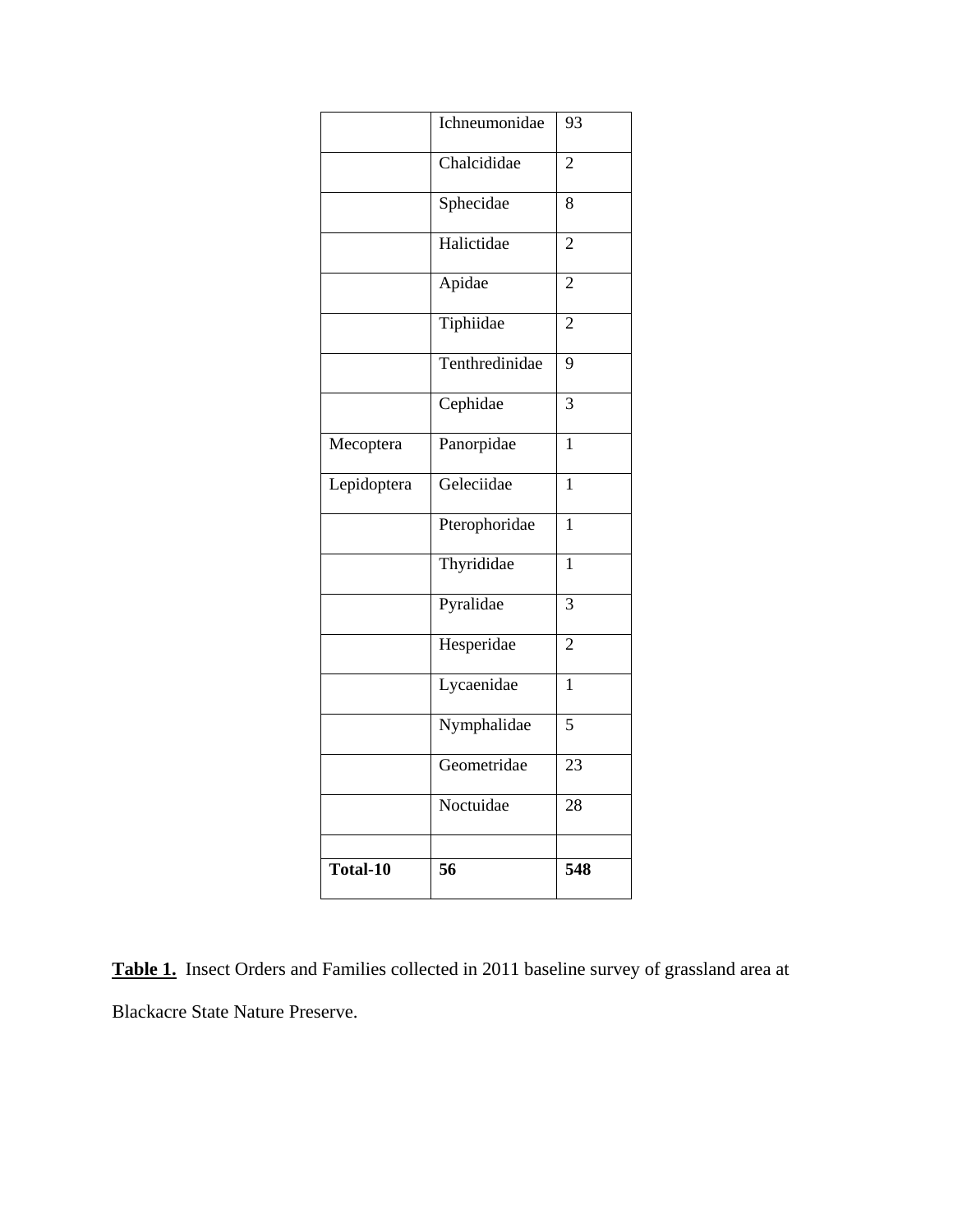|             | Ichneumonidae  | 93             |
|-------------|----------------|----------------|
|             | Chalcididae    | $\overline{2}$ |
|             | Sphecidae      | 8              |
|             | Halictidae     | $\overline{2}$ |
|             | Apidae         | $\overline{c}$ |
|             | Tiphiidae      | 2              |
|             | Tenthredinidae | 9              |
|             | Cephidae       | 3              |
| Mecoptera   | Panorpidae     | $\mathbf{1}$   |
| Lepidoptera | Geleciidae     | $\mathbf{1}$   |
|             | Pterophoridae  | 1              |
|             | Thyrididae     | $\mathbf{1}$   |
|             | Pyralidae      | 3              |
|             | Hesperidae     | $\overline{2}$ |
|             | Lycaenidae     | $\mathbf{1}$   |
|             | Nymphalidae    | 5              |
|             | Geometridae    | 23             |
|             | Noctuidae      | 28             |
|             |                |                |
| Total-10    | 56             | 548            |

**Table 1.** Insect Orders and Families collected in 2011 baseline survey of grassland area at Blackacre State Nature Preserve.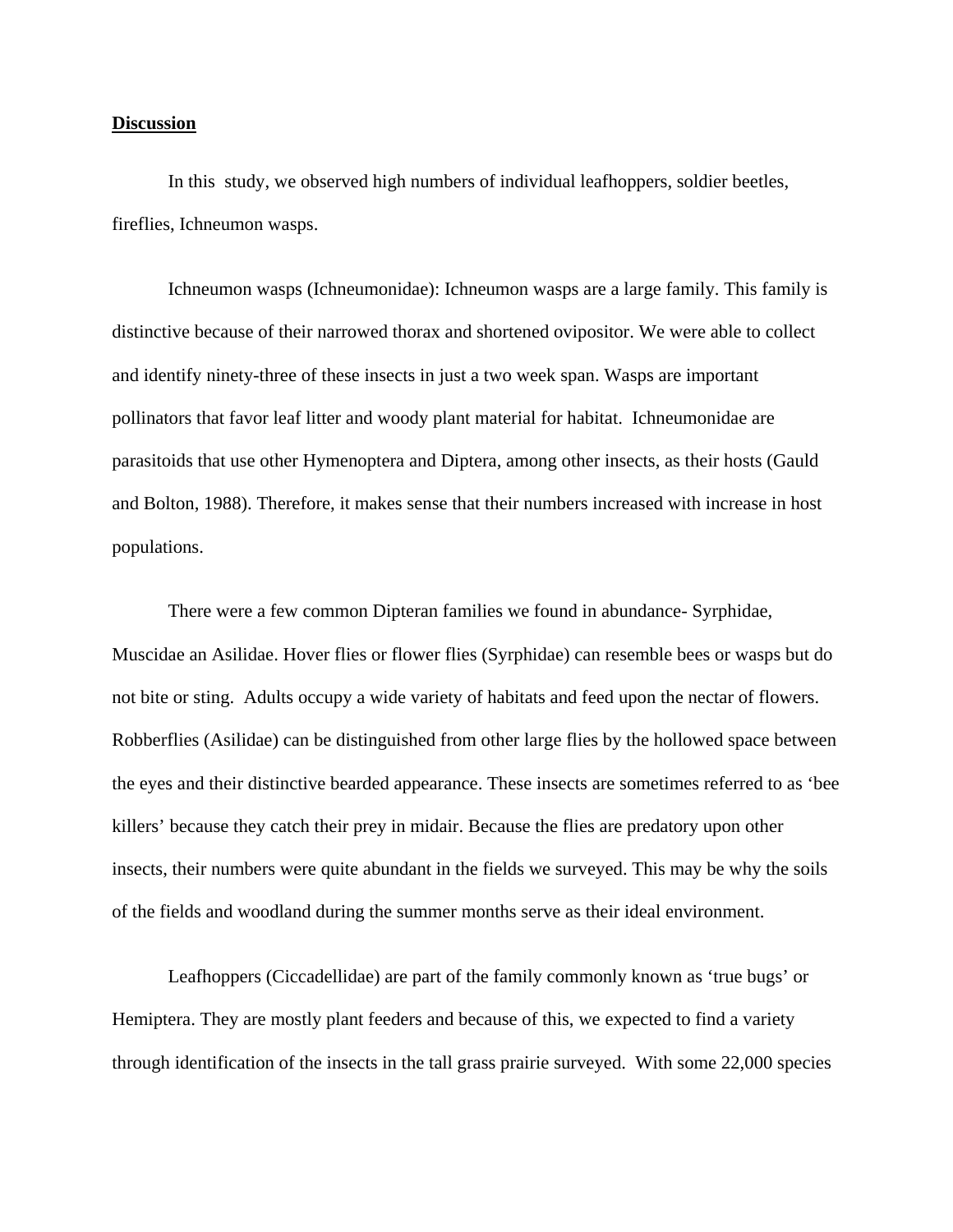## **Discussion**

In this study, we observed high numbers of individual leafhoppers, soldier beetles, fireflies, Ichneumon wasps.

Ichneumon wasps (Ichneumonidae): Ichneumon wasps are a large family. This family is distinctive because of their narrowed thorax and shortened ovipositor. We were able to collect and identify ninety-three of these insects in just a two week span. Wasps are important pollinators that favor leaf litter and woody plant material for habitat. Ichneumonidae are parasitoids that use other Hymenoptera and Diptera, among other insects, as their hosts (Gauld and Bolton, 1988). Therefore, it makes sense that their numbers increased with increase in host populations.

There were a few common Dipteran families we found in abundance- Syrphidae, Muscidae an Asilidae. Hover flies or flower flies (Syrphidae) can resemble bees or wasps but do not bite or sting. Adults occupy a wide variety of habitats and feed upon the nectar of flowers. Robberflies (Asilidae) can be distinguished from other large flies by the hollowed space between the eyes and their distinctive bearded appearance. These insects are sometimes referred to as 'bee killers' because they catch their prey in midair. Because the flies are predatory upon other insects, their numbers were quite abundant in the fields we surveyed. This may be why the soils of the fields and woodland during the summer months serve as their ideal environment.

Leafhoppers (Ciccadellidae) are part of the family commonly known as 'true bugs' or Hemiptera. They are mostly plant feeders and because of this, we expected to find a variety through identification of the insects in the tall grass prairie surveyed. With some 22,000 species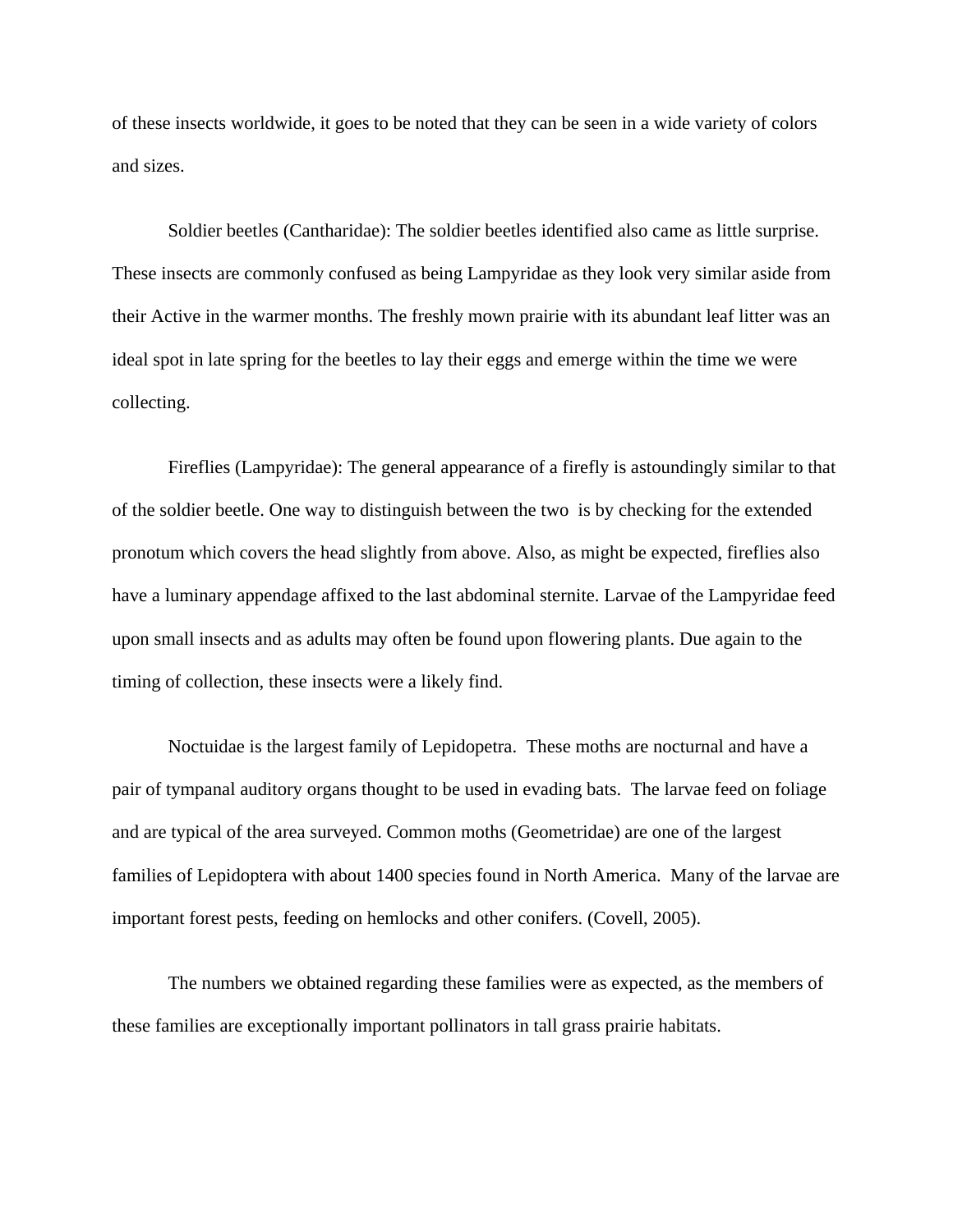of these insects worldwide, it goes to be noted that they can be seen in a wide variety of colors and sizes.

Soldier beetles (Cantharidae): The soldier beetles identified also came as little surprise. These insects are commonly confused as being Lampyridae as they look very similar aside from their Active in the warmer months. The freshly mown prairie with its abundant leaf litter was an ideal spot in late spring for the beetles to lay their eggs and emerge within the time we were collecting.

Fireflies (Lampyridae): The general appearance of a firefly is astoundingly similar to that of the soldier beetle. One way to distinguish between the two is by checking for the extended pronotum which covers the head slightly from above. Also, as might be expected, fireflies also have a luminary appendage affixed to the last abdominal sternite. Larvae of the Lampyridae feed upon small insects and as adults may often be found upon flowering plants. Due again to the timing of collection, these insects were a likely find.

Noctuidae is the largest family of Lepidopetra. These moths are nocturnal and have a pair of tympanal auditory organs thought to be used in evading bats. The larvae feed on foliage and are typical of the area surveyed. Common moths (Geometridae) are one of the largest families of Lepidoptera with about 1400 species found in North America. Many of the larvae are important forest pests, feeding on hemlocks and other conifers. (Covell, 2005).

The numbers we obtained regarding these families were as expected, as the members of these families are exceptionally important pollinators in tall grass prairie habitats.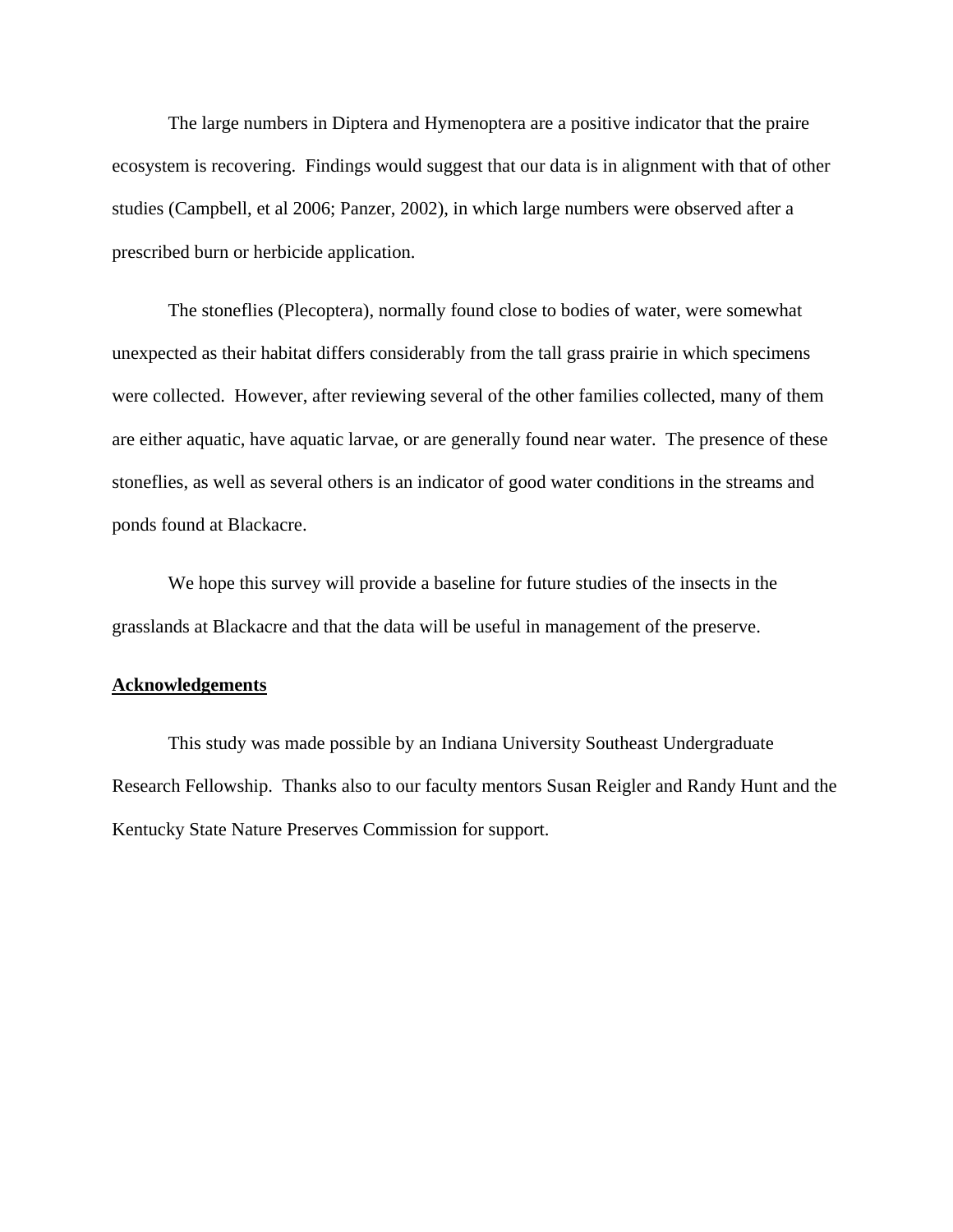The large numbers in Diptera and Hymenoptera are a positive indicator that the praire ecosystem is recovering. Findings would suggest that our data is in alignment with that of other studies (Campbell, et al 2006; Panzer, 2002), in which large numbers were observed after a prescribed burn or herbicide application.

The stoneflies (Plecoptera), normally found close to bodies of water, were somewhat unexpected as their habitat differs considerably from the tall grass prairie in which specimens were collected. However, after reviewing several of the other families collected, many of them are either aquatic, have aquatic larvae, or are generally found near water. The presence of these stoneflies, as well as several others is an indicator of good water conditions in the streams and ponds found at Blackacre.

 We hope this survey will provide a baseline for future studies of the insects in the grasslands at Blackacre and that the data will be useful in management of the preserve.

## **Acknowledgements**

 This study was made possible by an Indiana University Southeast Undergraduate Research Fellowship. Thanks also to our faculty mentors Susan Reigler and Randy Hunt and the Kentucky State Nature Preserves Commission for support.